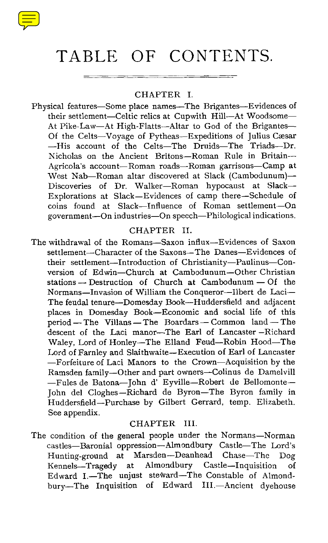

# TABLE OF CONTENTS.

#### CHAPTER I.

Physical features—Some place names—The Brigantes—Evidences of their settlement—Celtic relics at Cupwith Hill—At Woodsome — At Pike-Law—At High-Flatts—Altar to God of the Brigantes— Of the Celts—Voyage of Pytheas—Expeditions of Julius Caesar —His account of the Celts—The Druids—The Triads—Dr. Nicholas on the Ancient Britons—Roman Rule in Britain— Agricola's account—Roman roads—Roman garrisons—Camp at West Nab—Roman altar discovered at Slack (Cambodunum)— Discoveries of Dr. Walker—Roman hypocaust at Slack— Explorations at Slack—Evidences of camp there—Schedule of coins found at Slack—Influence of Roman settlement—On government—On industries—On speech—Philological indications.

# CHAPTER II.

The withdrawal of the Romans—Saxon influx—Evidences of Saxon settlement—Character of the Saxons—The Danes—Evidences of their settlement—Introduction of Christianity—Paulinus—Conversion of Edwin—Church at Cambodunum—Other Christian stations — Destruction of Church at Cambodunum — Of the Normans—Invasion of William the Conqueror—Ilbert de Laci— The feudal tenure—Domesday Book—Huddersfield and adjacent places in Domesday Book—Economic and social life of this period—The Villans — The Boardars — Common land—The descent of the Laci manor--The Earl of Lancaster —Richard Waley, Lord of Honley—The Elland Feud—Robin Hood—The Lord of Farnley and Slaithwaite—Execution of Earl of Lancaster —Forfeiture of Laci Manors to the Crown—Acquisition by the Ramsden family—Other and part owners—Colinus de Damelvill —Fules de Batona—John d' Eyville—Robert de Bellomonte— John del Cloghes—Richard de Byron—The Byron family in Huddersfield—Purchase by Gilbert Gerrard, temp. Elizabeth. See appendix.

# CHAPTER III.

The condition of the general people under the Normans—Norman castles—Baronial oppression—Almondbury Castle—The Lord's Hunting-ground at Marsden—Deanhead Chase—The Dog Kennels—Tragedy at Almondbury Castle—Inquisition of Edward I.—The unjust steward—The Constable of Almondbury—The Inquisition of Edward III .—Ancient dyehouse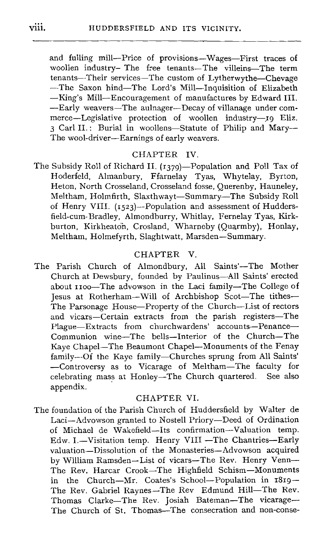and fulling mill—Price of provisions—Wages—First traces of woollen industry– The free tenants—The villeins—The term tenants—Their services—The custom of Lytherwythe—Chevage --The Saxon hind—The Lord's Mill—Inquisition of Elizabeth —King's Mill—Encouragement of manufactures by Edward III. —Early weavers—The aulnager—Decay of villanage under commerce—Legislative protection of woollen industry—19 Eliz. 3 Carl II. : Burial in woollens—Statute of Philip and Mary-- The wool-driver—Earnings of early weavers.

# CHAPTER IV.

The Subsidy Roll of Richard II. (1379)—Population and Poll Tax of Hoderfeld, Almanbury, Ffarnelay Tyas, Whytelay, Byrton, Heton, North Crosseland, Crosseland fosse, Querenby, Hauneley, Meltham, Holmfirth, Slaxthwayt—Summary—The Subsidy Roll of Henry VIII. (1523)—Population and assessment of Huddersfield-cum-Bradley, Almondburry, Whitlay, Fernelay Tyas, Kirkburton, Kirkheaton, Crosland, Wharneby (Quarmby), Honlay Meltham, Holmefyrth, Slaghtwatt, Marsden—Summary.

#### CHAPTER V.

The Parish Church of Almondbury, All Saints'—The Mother Church at Dewsbury, founded by Paulinus—All Saints' erected about 1100-The advowson in the Laci family-The College of Jesus at Rotherham—Will of Archbishop Scot—The tithes— The Parsonage House—Property of the Church—List of rectors and vicars—Certain extracts from the parish registers—The Plague—Extracts from churchwardens' accounts—Penance— Communion wine—The bells—Interior of the Church—The Kaye Chapel—The Beaumont Chapel—Monuments of the Fenay family--Of the Kaye family—Churches sprung from All Saints' —Controversy as to Vicarage of Meltham—The faculty for celebrating mass at Honley—The Church quartered. See also appendix.

#### CHAPTER VI.

The foundation of the Parish Church of Huddersfield by Walter de Laci—Advowson granted to Nostell Priory—Deed of Ordination of Michael de Wakefield—Its confirmation—Valuation temp. Edw. I.-Visitation temp. Henry VIII -The Chantries-Early valuation—Dissolution of the Monasteries—Advowson acquired by William Ramsden—List of vicars—The Rev. Henry Venn— The Rev. Harcar Crook—The Highfield Schism—Monuments in the Church—Mr. Coates's School—Population in 1819— The Rev. Gabriel Raynes—The Rev Edmund Hill—The Rev. Thomas Clarke-The Rev. Josiah Bateman-The vicarage-The Church of St. Thomas—The consecration and non-conse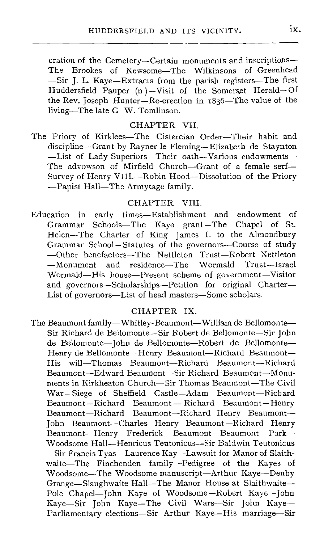cration of the Cemetery—Certain monuments and inscriptions— The Brookes of Newsome—The Wilkinsons of Greenhead — Sir J. L. Kaye—Extracts from the parish registers—The first Huddersfield Pauper (n ) —Visit of the Somerset Herald— Of the Rev. Joseph Hunter—Re-erection in 1836—The value of the living—The late G W. Tomlinson.

#### CHAPTER VII.

The Priory of Kirklees—The Cistercian Order—Their habit and discipline—Grant by Rayner le Fleming—Elizabeth de Staynton —List of Lady Superiors—Their oath—Various endowments— The advowson of Mirfield Church—Grant of a female serf— Survey of Henry VIII. -Robin Hood--Dissolution of the Priory —Papist Hall—The Armytage family.

#### CHAPTER VIII.

Education in early times—Establishment and endowment of Grammar Schools—The Kaye grant—The Chapel of St. Helen—The Charter of King James I. to the Almondbury Grammar School—Statutes of the governors—Course of study —Other benefactors—The Nettleton Trust—Robert Nettleton —Monument and residence—The Wormald Trust—Israel Wormald—His house—Present scheme of government—Visitor and governors—Scholarships—Petition for original Charter— List of governors—List of head masters—Some scholars.

#### CHAPTER IX.

The Beaumont family—Whitley-Beaumont—William de Bellomonte— Sir Richard de Bellomonte—Sir Robert de Bellomonte—Sir John de Bellomonte—John de Bellomonte—Robert de Bellomonte— Henry de Bellomonte— Henry Beaumont—Richard Beaumont— His will—Thomas Beaumont—Richard Beaumont—Richard Beaumont—Edward Beaumont—Sir Richard Beaumont—Monuments in Kirkheaton Church—Sir Thomas Beaumont—The Civil War—Siege of Sheffield Castle—Adam Beaumont—Richard Beaumont—Richard Beaumont— Richard Beaumont—Henry Beaumont—Richard Beaumont—Richard Henry Beaumont— John Beaumont—Charles Henry Beaumont—Richard Henry Beaumont—Henry Frederick Beaumont—Beaumont Park— Woodsome Hall—Henricus Teutonicus—Sir Baldwin Teutonicus — Sir Francis Tyas--Laurence Kay—Lawsuit for Manor of Slaithwaite—The Finchenden family—Pedigree of the Kayes of Woodsome—The Woodsome manuscript—Arthur Kaye—Denby Grange—Slaughwaite Hall—The Manor House at Slaithwaite— Pole Chapel—John Kaye of Woodsome—Robert Kaye—John Kaye—Sir John Kaye—The Civil Wars—Sir John Kaye— Parliamentary elections—Sir Arthur Kaye—His marriage—Sir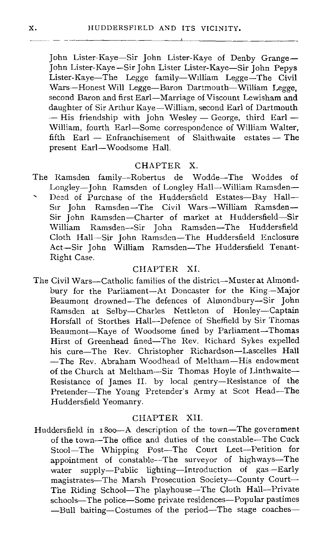John Lister-Kaye—Sir John Lister-Kaye of Denby Grange— John Lister-Kaye—Sir John Lister Lister-Kaye—Sir John Pepys Lister-Kaye—The Legge family—William Legge—The Civil Wars—Honest Will Legge—Baron Dartmouth—William Legge, second Baron and first Earl—Marriage of Viscount Lewisham and daughter of Sir Arthur Kaye—William, second Earl of Dartmouth  $-$  His friendship with John Wesley  $-$  George, third Earl  $-$ William, fourth Earl—Some correspondence of William Walter, fifth Earl — Enfranchisement of Slaithwaite estates — The present Earl—Woodsome Hall.

#### CHAPTER X.

- The Ramsden family—Robertus de Wodde—The Woddes of Longley—John Ramsden of Longley Hall—William Ramsden—
- Deed of Purchase of the Huddersfield Estates—Bay Hall— Sir John Ramsden —The Civil Wars—William Ramsden— Sir John Ramsden—Charter of market at Huddersfield—Sir William Ramsden—Sir John Ramsden—The Huddersfield Cloth Hall—Sir John Ramsden—The Huddersfield Enclosure Act—Sir John William Ramsden—The Huddersfield Tenant-Right Case.

#### CHAPTER XI.

The Civil Wars—Catholic families of the district—Muster at Almondbury for the Parliament—At Doncaster for the King—Major Beaumont drowned—The defences of Almondbury—Sir John Ramsden at Selby—Charles Nettleton of Honley—Captain Horsfall of Storthes Hall—Defence of Sheffield by Sir Thomas Beaumont—Kaye of Woodsome fined by Parliament—Thomas Hirst of Greenhead fined—The Rev. Richard Sykes expelled his cure-The Rev. Christopher Richardson-Lascelles Hall —The Rev . Abraham Woodhead of Meltham—His endowment of the Church at Meltham--Sir Thomas Hoyle of Linthwaite— Resistance of James II. by local gentry—Resistance of the Pretender—The Young Pretender's Army at Scot Head—The Huddersfield Yeomanry.

# CHAPTER XII.

Huddersfield in 1800—A description of the town—The government of the town—The office and duties of the constable—The Cuck Stool—The Whipping Post—The Court Leet—Petition for appointment of constable—The surveyor of highways—The water supply—Public lighting—Introduction of gas—Early magistrates—The Marsh Prosecution Society—County Court— The Riding School—The playhouse—The Cloth Hall—Private schools—The police—Some private residences—Popular pastimes —Bull baiting—Costumes of the period—The stage coaches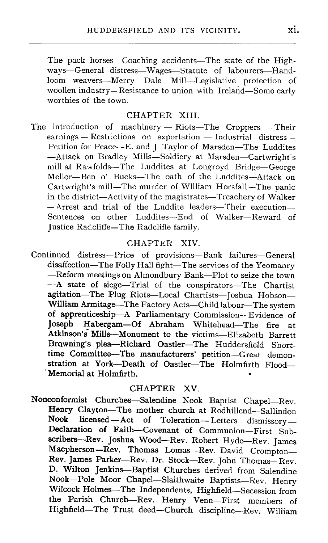The pack horses—Coaching accidents—The state of the Highways—General distress—Wages—Statute of labourers—Handloom weavers—Merry Dale Mill—Legislative protection of woollen industry— Resistance to union with Ireland—Some early worthies of the town.

# CHAPTER XIII.

The introduction of machinery — Riots—The Croppers — Their earnings — Restrictions on exportation — Industrial distress— Petition for Peace—E . and J Taylor of Marsden—The Luddites —Attack on Bradley Mills—Soldiery at Marsden—Cartwright's mill at Rawfolds—The Luddites at Longroyd Bridge—George Mellor—Ben o' Bucks—The oath of the Luddites—Attack on Cartwright's mill—The murder of William Horsfall—The panic in the district—Activity of the magistrates—Treachery of Walker —Arrest and trial of the Luddite leaders—Their execution-- Sentences on other Luddites—End of Walker—Reward of Justice Radcliffe—The Radcliffe family.

#### CHAPTER XIV.

Continued distress—Price of provisions—Bank failures—General disaffection—The Folly Hall fight—The services of the Yeomanry —Reform meetings on Almondbury Bank—Plot to seize the town —A state of siege—Trial of the conspirators—The Chartist agitation—The Plug Riots—Local Chartists—Joshua Hobson— William Armitage—The Factory Acts—Child labour—The system of apprenticeship—A Parliamentary Commission—Evidence of Joseph Habergam—Of Abraham Whitehead—The fire at Atkinson's Mills—Monument to the victims—Elizabeth Barrett Browning's plea—Richard Oastler—The Huddersfield Shorttime Committee—The manufacturers' petition—Great demonstration at York—Death of Oastler—The Holmfirth Flood— Memorial at Holmfirth.

#### CHAPTER XV.

**Nonconformist Churches—Salendine Nook Baptist Chapel—Rev. Henry Clayton—The mother church at Rodhillend—Sallindon Nook licensed—Act of Toleration—Letters dismissory— Declaration of Faith—Covenant of Communion—First Subscribers—Rev . Joshua Wood—Rev. Robert Hyde—Rev . James Macpherson—Rev . Thomas Lomas—Rev . David Crompton— Rev . James Parker—Rev . Dr. Stock—Rev . John Thomas—Rev. D. Wilton Jenkins—Baptist Churches derived from Salendine Nook—Pole Moor Chapel—Slaithwaite Baptists—Rev . Henry Wilcock Holmes—The Independents, Highfield—Secession from the Parish Church—Rev. Henry Venn—First members of Highfield—The Trust deed—Church discipline—Rev . William**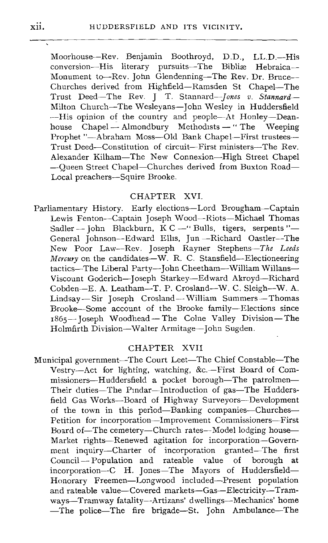Moorhouse—Rev . Benjamin Boothroyd, D.D., LL.D.—His conversion—His literary pursuits—The Bibliae Hebraica— Monument to—Rev. John Glendenning—The Rev. Dr. Bruce— Churches derived from Highfield—Ramsden St Chapel—The Trust Deed—The Rev . J T. Stannard*Jones <sup>v</sup> . Stannard— Milton Church—The Wesleyans—John Wesley in Huddersfield —His opinion of the country and people—At Honley—Deanhouse Chapel — Almondbury Methodists — " The Weeping Prophet "—Abraham Moss—Old Bank Chapel—First trustees— Trust Deed—Constitution of circuit—First ministers—The Rev. Alexander Kilham—The New Connexion—High Street Chapel —Queen Street Chapel—Churches derived from Buxton Road— Local preachers—Squire Brooke.*

#### CHAPTER XVI.

Parliamentary History. Early elections—Lord Brougham—Captain Lewis Fenton—Captain Joseph Wood—Riots—Michael Thomas Sadler — John Blackburn, K C —" Bulls, tigers, serpents "— General Johnson—Edward Ellis, Jun —Richard Oastler—The New Poor Law—Rev. Joseph Rayner Stephens—The *Leeds Mercury on the candidates—W. R. C. Stansfield—Electioneering tactics—The Liberal Party—John Cheetham—William Willans— Viscount Goderich—Joseph Starkey—Edward Akroyd--Richard Cobden—E. A. Leatham—T. P. Crosland—W. C . Sleigh—W . A. Lindsay—Sir Joseph Crosland—William Summers—Thomas Brooke—Some account of the Brooke family—Elections since 1865—Joseph Woodhead—The Colne Valley Division—The Holmfirth Division—Walter Armitage—John Sugden.*

# CHAPTER XVII

Municipal government—The Court Leet—The Chief Constable—The Vestry—Act for lighting, watching, &c.—First Board of Commissioners—Huddersfield a pocket borough—The patrolmen— Their duties—The Pindar—Introduction of gas—The Huddersfield Gas Works—Board of Highway Surveyors—Development of the town in this period—Banking companies—Churches— Petition for incorporation—Improvement Commissioners—First Board of—The cemetery—Church rates—Model lodging house— Market rights—Renewed agitation for incorporation—Government inquiry—Charter of incorporation granted—The first<br>Council—Population and rateable value of borough at  $Counti$ –Population and rateable value of borough incorporation—C H. Jones—The Mayors of Huddersfield— Honorary Freemen—Longwood included--Present population and rateable value—Covered markets—Gas—Electricity—Tramways—Tramway fatality—Artizans' dwellings—Mechanics' home —The police—The fire brigade—St. John Ambulance—The